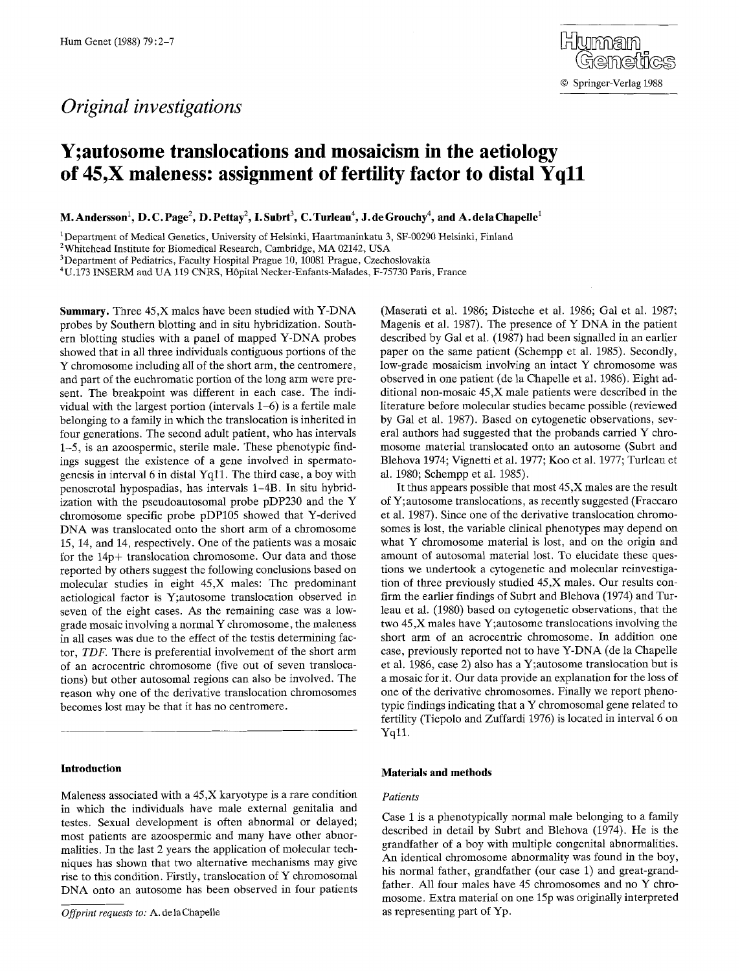# *Original investigations*

# **Y;autosome transiocations and mosaicism in the aetiology of 45,X maleness: assignment of fertility factor to distal Yqll**

**M. Andersson<sup>1</sup>, D. C. Page<sup>2</sup>, D. Pettay<sup>2</sup>, I. Subrt<sup>3</sup>, C. Turleau<sup>4</sup>, J. de Grouchy<sup>4</sup>, and A. de la Chapelle<sup>1</sup>** 

<sup>1</sup> Department of Medical Genetics, University of Helsinki, Haartmaninkatu 3, SF-00290 Helsinki, Finland

2Whitehead Institute for Biomedical Research, Cambridge, MA 02142, USA

<sup>3</sup>Department of Pediatrics, Faculty Hospital Prague 10, 10081 Prague, Czechoslovakia

4U.173 INSERM and UA 119 CNRS, H6pital Necker-Enfants-Malades, F-75730 Paris, France

**Summary.** Three 45,X males have been studied with Y-DNA probes by Southern blotting and in situ hybridization. Southern blotting studies with a panel of mapped Y-DNA probes showed that in all three individuals contiguous portions of the Y chromosome including all of the short arm, the centromere, and part of the euchromatic portion of the long arm were present. The breakpoint was different in each case. The individual with the largest portion (intervals 1-6) is a fertile male belonging to a family in which the translocation is inherited in four generations. The second adult patient, who has intervals 1-5, is an azoospermic, sterile male. These phenotypic findings suggest the existence of a gene involved in spermatogenesis in interval 6 in distal Yqll. The third case, a boy with penoscrotal hypospadias, has intervals 1-4B. In situ hybridization with the pseudoautosomal probe pDP230 and the Y chromosome specific probe pDP105 showed that Y-derived DNA was translocated onto the short arm of a chromosome 15, 14, and 14, respectively. One of the patients was a mosaic for the 14p+ translocation chromosome. Our data and those reported by others suggest the following conclusions based on molecular studies in eight 45,X males: The predominant aetiological factor is Y;autosome translocation observed in seven of the eight cases. As the remaining case was a lowgrade mosaic involving a normal Y chromosome, the maleness in all cases was due to the effect of the testis determining factor, *TDF.* There is preferential involvement of the short arm of an acrocentric chromosome (five out of seven translocations) but other autosomal regions can also be involved. The reason why one of the derivative translocation chromosomes becomes lost may be that it has no centromere.

## **Introduction**

Maleness associated with a 45,X karyotype is a rare condition in which the individuals have male external genitalia and testes. Sexual development is often abnormal or delayed; most patients are azoospermic and many have other abnormalities. In the last 2 years the application of molecular techniques has shown that two alternative mechanisms may give rise to this condition. Firstly, translocation of Y chromosomal DNA onto an autosome has been observed in four patients (Maserati et al. 1986; Disteche et al. 1986; Gal et al. 1987; Magenis et al. 1987). The presence of Y DNA in the patient described by Gal et al. (1987) had been signalled in an earlier paper on the same patient (Schempp et al. 1985). Secondly, low-grade mosaicism involving an intact Y chromosome was observed in one patient (de la Chapelle et al. 1986). Eight additional non-mosaic 45,X male patients were described in the literature before molecular studies became possible (reviewed by Gal et al. 1987). Based on cytogenetic observations, several authors had suggested that the probands carried Y chromosome material translocated onto an antosome (Subrt and Blehova 1974; Vignetti et al. 1977; Koo et al. 1977; Turleau et al. 1980; Schempp et al. 1985).

It thus appears possible that most 45,X males are the result of Y; autosome translocations, as recently suggested (Fraccaro et al. 1987). Since one of the derivative translocation chromosomes is lost, the variable clinical phenotypes may depend on what Y chromosome material is lost, and on the origin and amount of autosomal material lost. To elucidate these questions we undertook a cytogenetic and molecular reinvestigation of three previously studied 45,X males. Our results confirm the earlier findings of Subrt and Blehova (1974) and Turleau et al. (1980) based on cytogenetic observations, that the two 45,X males have Y;autosome translocations involving the short arm of an acrocentric chromosome. In addition one case, previously reported not to have Y-DNA (de la Chapelle et al. 1986, case 2) also has a Y;autosome translocation but is a mosaic for it. Our data provide an explanation for the loss of one of the derivative chromosomes. Finally we report phenotypic findings indicating that a Y chromosomal gene related to fertility (Tiepolo and Zuffardi 1976) is located in interval 6 on Yq11.

## **Materials and methods**

#### *Patients*

Case 1 is a phenotypically normal male belonging to a family described in detail by Subrt and Blehova (1974). He is the grandfather of a boy with multiple congenital abnormalities. An identical chromosome abnormality was found in the boy, his normal father, grandfather (our case 1) and great-grandfather. All four males have 45 chromosomes and no Y chromosome. Extra material on one 15p was originally interpreted as representing part of Yp.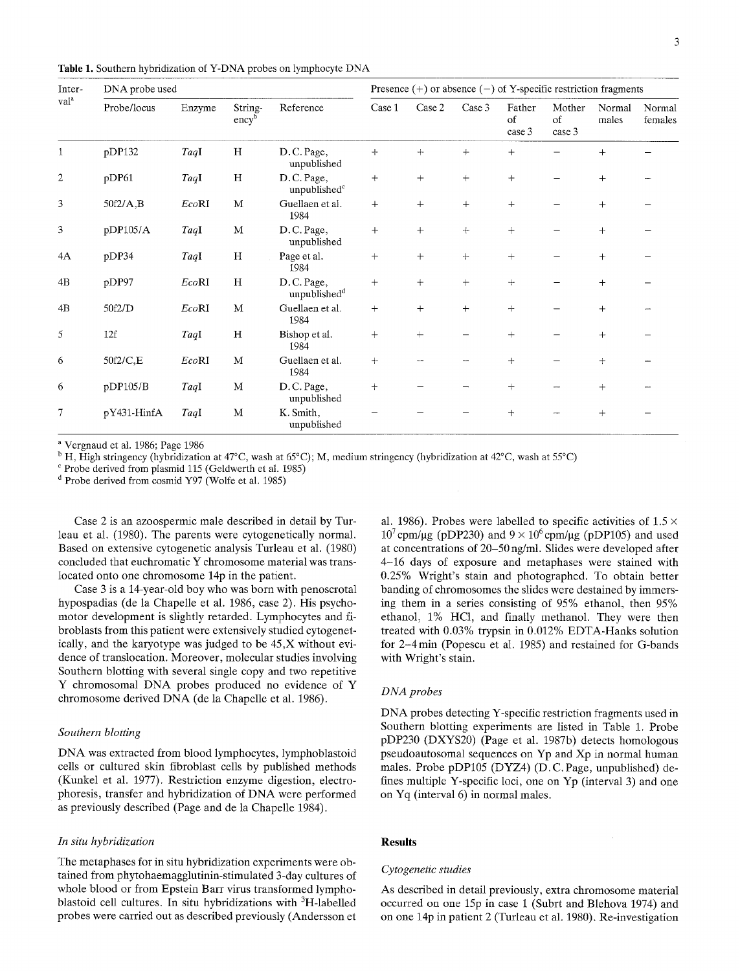Table 1. Southern hybridization of Y-DNA probes on lymphocyte DNA

| Inter-<br>val <sup>a</sup> | DNA probe used |        |                              |                                        | Presence $(+)$ or absence $(-)$ of Y-specific restriction fragments |        |        |                        |                        |                 |                   |
|----------------------------|----------------|--------|------------------------------|----------------------------------------|---------------------------------------------------------------------|--------|--------|------------------------|------------------------|-----------------|-------------------|
|                            | Probe/locus    | Enzyme | String-<br>ency <sup>b</sup> | Reference                              | Case 1                                                              | Case 2 | Case 3 | Father<br>of<br>case 3 | Mother<br>of<br>case 3 | Normal<br>males | Normal<br>females |
| 1                          | pDP132         | TaqI   | H                            | D.C.Page,<br>unpublished               | $+$                                                                 | $+$    | $+$    | $^{+}$                 |                        | $\mathrm{+}$    |                   |
| $\overline{2}$             | pDP61          | TaqI   | H                            | D.C. Page,<br>unpublished <sup>c</sup> | $+$                                                                 | $^{+}$ | $+$    | $+$                    |                        | $+$             |                   |
| 3                          | $50f2/A$ , B   | EcoRI  | M                            | Guellaen et al.<br>1984                | $^{+}$                                                              | $+$    | $^{+}$ | $+$                    |                        | $^{+}$          |                   |
| 3                          | pDP105/A       | TaqI   | M                            | D.C. Page,<br>unpublished              | $+$                                                                 | $+$    | $+$    | $+$                    |                        | $^{+}$          |                   |
| 4A                         | pDP34          | TaqI   | H                            | Page et al.<br>1984                    | $\qquad \qquad +$                                                   | $+$    | $+$    | $^{+}$                 |                        | $^{+}$          |                   |
| 4B                         | pDP97          | EcoRI  | H                            | D.C. Page,<br>unpublished <sup>d</sup> | $+$                                                                 | $+$    | $+$    | $+$                    |                        | $+$             |                   |
| 4B                         | 50f2/D         | EcoRI  | M                            | Guellaen et al.<br>1984                | $+$                                                                 | $^{+}$ | $+$    | $+$                    |                        | $+$             |                   |
| 5                          | 12f            | TaqI   | H                            | Bishop et al.<br>1984                  | $+$                                                                 | $+$    |        | $+$                    |                        | $+$             |                   |
| 6                          | 50f2/C,E       | EcoRI  | M                            | Guellaen et al.<br>1984                | $+$                                                                 |        |        | $^{+}$                 |                        | $^{+}$          |                   |
| 6                          | pDP105/B       | TaqI   | M                            | D.C. Page,<br>unpublished              | $+$                                                                 |        |        | $+$                    |                        | $^{+}$          |                   |
| 7                          | pY431-HinfA    | TaqI   | $\mathbf M$                  | K. Smith,<br>unpublished               |                                                                     |        |        | $^{+}$                 |                        | $^{+}$          |                   |

a Vergnaud et al. 1986; Page 1986

<sup>b</sup> H, High stringency (hybridization at 47°C, wash at 65°C); M, medium stringency (hybridization at 42°C, wash at 55°C)

c Probe derived from plasmid 115 (Geldwerth et al. 1985)

d Probe derived from cosmid Y97 (Wolfe et al. 1985)

Case 2 is an azoospermic male described in detail by Turleau et al. (1980). The parents were cytogenetically normal. Based on extensive cytogenetic analysis Turleau et al. (1980) concluded that euchromatic Y chromosome material was translocated onto one chromosome 14p in the patient.

Case 3 is a 14-year-old boy who was born with penoscrotal hypospadias (de la Chapelle et al. 1986, case 2). His psychomotor development is slightly retarded. Lymphocytes and fibroblasts from this patient were extensively studied cytogenetically, and the karyotype was judged to be 45,X without evidence of translocation. Moreover, molecular studies involving Southern blotting with several single copy and two repetitive Y chromosomal DNA probes produced no evidence of Y chromosome derived DNA (de la Chapelle et al. 1986).

# *Southern blotting*

DNA was extracted from blood lymphocytes, lymphoblastoid cells or cultured skin fibroblast cells by published methods (Kunkel et al. 1977). Restriction enzyme digestion, electrophoresis, transfer and hybridization of DNA were performed as previously described (Page and de la Chapelle 1984).

#### *In situ hybridization*

The metaphases for in situ hybridization experiments were obtained from phytohaemagglutinin-stimulated 3-day cultures of whole blood or from Epstein Barr virus transformed lymphoblastoid cell cultures. In situ hybridizations with <sup>3</sup>H-labelled probes were carried out as described previously (Andersson et

al. 1986). Probes were labelled to specific activities of  $1.5 \times$  $10^7$  cpm/ $\mu$ g (pDP230) and  $9 \times 10^6$  cpm/ $\mu$ g (pDP105) and used at concentrations of 20-50 ng/ml. Slides were developed after 4-16 days of exposure and metaphases were stained with 0.25% Wright's stain and photographed. To obtain better banding of chromosomes the slides were destained by immersing them in a series consisting of 95% ethanol, then 95% ethanol, 1% HC1, and finally methanol. They were then treated with 0.03% trypsin in 0.012% EDTA-Hanks solution for 2–4 min (Popescu et al. 1985) and restained for G-bands with Wright's stain.

# *DNA probes*

DNA probes detecting Y-specific restriction fragments used in Southern blotting experiments are listed in Table 1. Probe pDP230 (DXYS20) (Page et al. 1987b) detects homologous pseudoautosomal sequences on Yp and Xp in normal human males. Probe pDP105 (DYZ4) (D. C. Page, unpublished) defines multiple Y-specific loci, one on Yp (interval 3) and one on Yq (interval 6) in normal males.

# **Results**

#### *Cytogenetic studies*

As described in detail previously, extra chromosome material occurred on one 15p in case 1 (Subrt and Blehova 1974) and on one 14p in patient 2 (Turleau et al. 1980). Re-investigation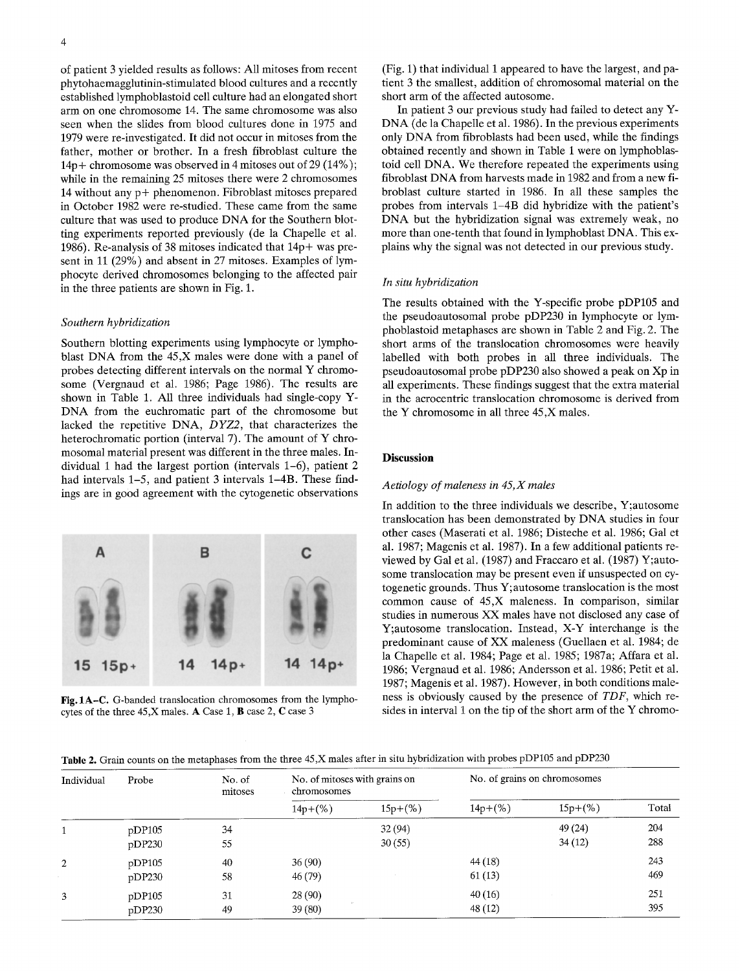of patient 3 yielded results as follows: All mitoses from recent phytohaemagglutinin-stimulated blood cultures and a recently established lymphoblastoid cell culture had an elongated short arm on one chromosome 14. The same chromosome was also seen when the slides from blood cultures done in 1975 and 1979 were re-investigated. It did not occur in mitoses from the father, mother or brother. In a fresh fibroblast culture the 14p+ chromosome was observed in 4 mitoses out of 29 (14%); while in the remaining 25 mitoses there were 2 chromosomes 14 without any p+ phenomenon. Fibroblast mitoses prepared in October 1982 were re-studied. These came from the same culture that was used to produce DNA for the Southern blotting experiments reported previously (de la Chapelle et al. 1986). Re-analysis of 38 mitoses indicated that 14p+ was present in 11 (29%) and absent in 27 mitoses. Examples of lymphocyte derived chromosomes belonging to the affected pair in the three patients are shown in Fig. 1.

#### *Southern hybridization*

Southern blotting experiments using lymphocyte or lymphoblast DNA from the 45,X males were done with a panel of probes detecting different intervals on the normal Y chromosome (Vergnaud et al. 1986; Page 1986). The results are shown in Table 1. All three individuals had single-copy Y-DNA from the euchromatic part of the chromosome but lacked the repetitive DNA, *DYZ2,* that characterizes the heterochromatic portion (interval 7). The amount of Y chromosomal material present was different in the three males. Individual 1 had the largest portion (intervals 1-6), patient 2 had intervals 1–5, and patient 3 intervals 1–4B. These findings are in good agreement with the cytogenetic observations



**Fig,** 1A-C. G-banded translocation chromosomes from the lymphocytes of the three 45,X males. A Case 1, B case 2, C case 3

(Fig. 1) that individual I appeared to have the largest, and patient 3 the smallest, addition of chromosomal material on the short arm of the affected autosome.

In patient 3 our previous study had failed to detect any Y-DNA (de la Chapelle et al. 1986). In the previous experiments only DNA from fibroblasts had been used, while the findings obtained recently and shown in Table 1 were on lymphoblastoid cell DNA. We therefore repeated the experiments using fibroblast DNA from harvests made in 1982 and from a new fibroblast culture started in 1986. In all these samples the probes from intervals 1-4B did hybridize with the patient's DNA but the hybridization signal was extremely weak, no more than one-tenth that found in lymphoblast DNA. This explains why the signal was not detected in our previous study.

### *In situ hybridization*

The results obtained with the Y-specific probe pDP105 and the pseudoautosomal probe pDP230 in lymphocyte or lymphoblastoid metaphases are shown in Table 2 and Fig. 2. The short arms of the translocation chromosomes were heavily labelled with both probes in all three individuals. The pseudoautosomal probe pDP230 also showed a peak on Xp in all experiments. These findings suggest that the extra material in the acrocentric translocation chromosome is derived from the Y chromosome in all three 45,X males.

# **Discussion**

#### *Aetiology of maleness in 45,X males*

In addition to the three individuals we describe, Y;autosome translocation has been demonstrated by DNA studies in four other cases (Maserati et al. 1986; Disteche et al. 1986; Gal et al. 1987; Magenis et al. 1987). In a few additional patients reviewed by Gal et al. (1987) and Fraccaro et al. (1987) Y;autosome translocation may be present even if unsuspected on cytogenetic grounds. Thus Y; autosome translocation is the most common cause of 45,X maleness. In comparison, similar studies in numerous XX males have not disclosed any case of Y;autosome translocation. Instead, X-Y interchange is the predominant cause of XX maleness (Guellaen et al. 1984; de la Chapelle et al. 1984; Page et al. 1985; 1987a; Affara et al. 1986; Vergnaud et al. 1986; Andersson et al. 1986; Petit et al. 1987; Magenis et al. 1987). However, in both conditions maleness is obviously caused by the presence of *TDF,* which resides in interval 1 on the tip of the short arm of the Y chromo-

# Table 2. Grain counts on the metaphases from the three 45,X males after in situ hybridization with probes pDP105 and pDP230

| Individual | Probe  | No. of<br>mitoses | No. of mitoses with grains on<br>chromosomes |           | No. of grains on chromosomes |           |       |  |
|------------|--------|-------------------|----------------------------------------------|-----------|------------------------------|-----------|-------|--|
|            |        |                   | $14p+(%)$                                    | $15p+(%)$ | $14p+(%)$                    | $15p+(%)$ | Total |  |
|            | pDP105 | 34                |                                              | 32(94)    |                              | 49 (24)   | 204   |  |
|            | pDP230 | 55                |                                              | 30(55)    |                              | 34(12)    | 288   |  |
| 2          | pDP105 | 40                | 36(90)                                       |           | 44 (18)                      |           | 243   |  |
|            | pDP230 | 58                | 46 (79)                                      |           | 61(13)                       |           | 469   |  |
| 3          | pDP105 | 31                | 28(90)                                       |           | 40(16)                       |           | 251   |  |
|            | pDP230 | 49                | 39(80)                                       |           | 48 (12)                      |           | 395   |  |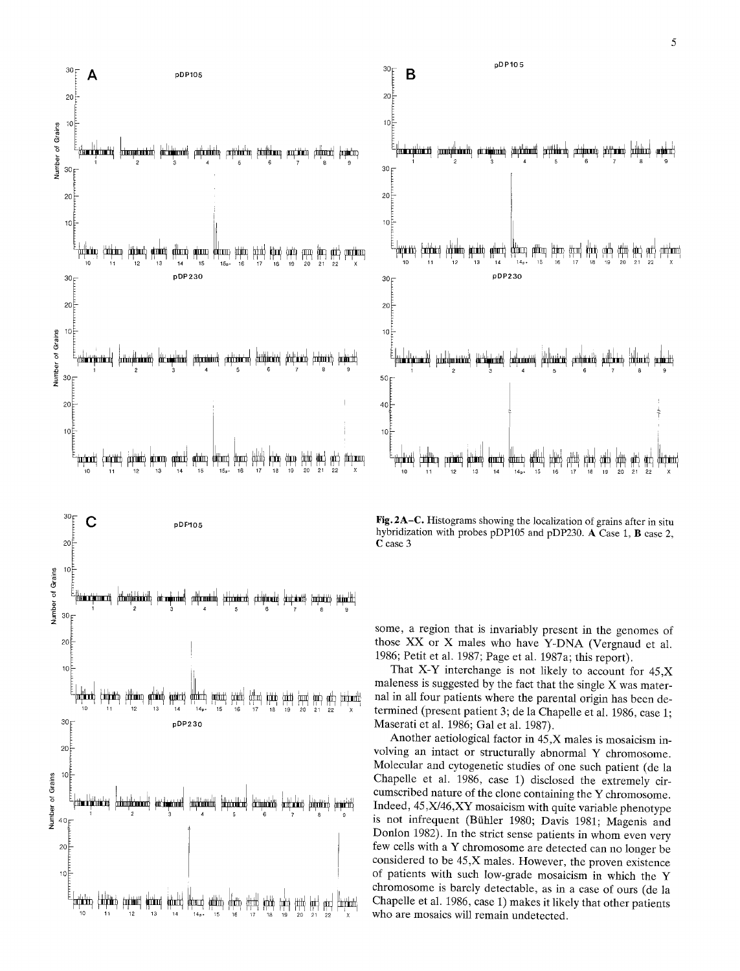



Fig. 2A-C. Histograms showing the localization of grains after in situ hybridization with probes pDP105 and pDP230. A Case 1, B case 2, C case 3

some, a region that is invariably present in the genomes of those XX or X males who have Y-DNA (Vergnaud et al. 1986; Petit et al. 1987; Page et al. 1987a; this report).

That X-Y interchange is not likely to account for  $45, X$ maleness is suggested by the fact that the single X was maternal in all four patients where the parental origin has been determined (present patient 3; de la Chapelle et al. 1986, case 1; Maserati et al. 1986; Gal et al. 1987).

Another aetiological factor in 45,X males is mosaicism involving an intact or structurally abnormal Y chromosome. Molecular and cytogenetic studies of one such patient (de la Chapelle et al. 1986, case 1) disclosed the extremely circumscribed nature of the clone containing the Y chromosome. Indeed, 45, X/46, XY mosaicism with quite variable phenotype is not infrequent (Bühler 1980; Davis 1981; Magenis and Donlon 1982). In the strict sense patients in whom even very few cells with a Y chromosome are detected can no longer be considered to be 45,X males. However, the proven existence of patients with such low-grade mosaicism in which the Y chromosome is barely detectable, as in a case of ours (de la Chapelle et al. 1986, case 1) makes it likely that other patients who are mosaics will remain undetected.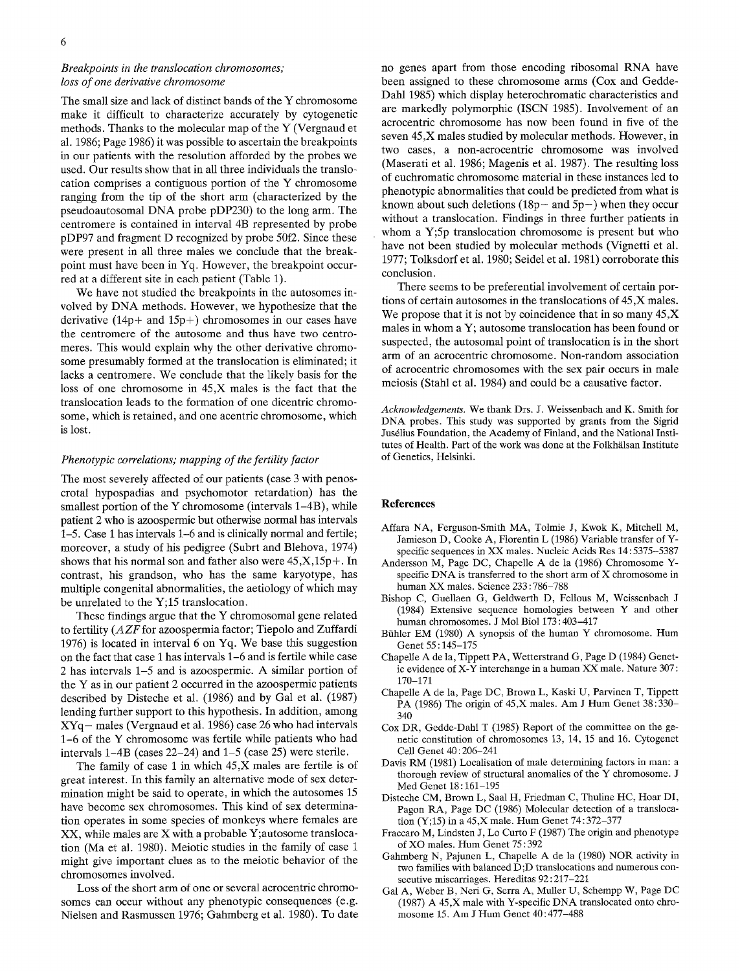# *Breakpoints in the translocation chromosomes; loss of one derivative chromosome*

The small size and lack of distinct bands of the Y chromosome make it difficult to characterize accurately by cytogenetic methods. Thanks to the molecular map of the Y (Vergnaud et al. 1986; Page 1986) it was possible to ascertain the breakpoints in our patients with the resolution afforded by the probes we used. Our results show that in all three individuals the translocation comprises a contiguous portion of the Y chromosome ranging from the tip of the short arm (characterized by the pseudoautosomal DNA probe pDP230) to the long arm. The centromere is contained in interval 4B represented by probe pDP97 and fragment D recognized by probe 50f2. Since these were present in all three males we conclude that the breakpoint must have been in Yq. However, the breakpoint occurred at a different site in each patient (Table 1).

We have not studied the breakpoints in the autosomes involved by DNA methods. However, we hypothesize that the derivative  $(14p+$  and  $15p+$ ) chromosomes in our cases have the centromere of the autosome and thus have two centromeres. This would explain why the other derivative chromosome presumably formed at the translocation is eliminated; it lacks a centromere. We conclude that the likely basis for the loss of one chromosome in 45,X males is the fact that the translocation leads to the formation of one dicentric chromosome, which is retained, and one acentric chromosome, which is lost.

#### *Phenotypic correlations; mapping of the fertility factor*

The most severely affected of our patients (case 3 with penoscrotal hypospadias and psychomotor retardation) has the smallest portion of the Y chromosome (intervals 1-4B), while patient 2 who is azoospermic but otherwise normal has intervals 1-5. Case 1 has intervals 1-6 and is clinically normal and fertile; moreover, a study of his pedigree (Subrt and Blehova, 1974) shows that his normal son and father also were 45,X,15p+. In contrast, his grandson, who has the same karyotype, has multiple congenital abnormalities, the aetiology of which may be unrelated to the Y;15 translocation.

These findings argue that the Y chromosomal gene related to fertility *(AZF* for azoospermia factor; Tiepolo and Zuffardi 1976) is located in interval 6 on Yq. We base this suggestion on the fact that case 1 has intervals  $1-6$  and is fertile while case 2 has intervals 1-5 and is azoospermic. A similar portion of the Y as in our patient 2 occurred in the azoospermic patients described by Disteche et al. (1986) and by Gal et al. (1987) lending further support to this hypothesis. In addition, among  $XYq$  males (Vergnaud et al. 1986) case 26 who had intervals 1-6 of the Y chromosome was fertile while patients who had intervals l-4B (cases 22-24) and 1-5 (case 25) were sterile.

The family of case 1 in which 45,X males are fertile is of great interest. In this family an alternative mode of sex determination might be said to operate, in which the autosomes 15 have become sex chromosomes. This kind of sex determination operates in some species of monkeys where females are XX, while males are X with a probable Y;autosome translocation (Ma et al. 1980). Meiotic studies in the family of case 1 might give important clues as to the meiotic behavior of the chromosomes involved.

Loss of the short arm of one or several acrocentric chromosomes can occur without any phenotypic consequences (e.g. Nielsen and Rasmussen 1976; Gahmberg et al. 1980). To date no genes apart from those encoding ribosomal RNA have been assigned to these chromosome arms (Cox and Gedde-Dahl 1985) which display heterochromatic characteristics and are markedly polymorphic (ISCN 1985). Involvement of an acrocentric chromosome has now been found in five of the seven 45,X males studied by molecular methods. However, in two cases, a non-acrocentric chromosome was involved (Maserati et al. 1986; Magenis et al. 1987). The resulting loss of euchromatic chromosome material in these instances led to phenotypic abnormalities that could be predicted from what is known about such deletions  $(18p - and 5p)$  when they occur without a translocation. Findings in three further patients in whom a Y;5p translocation chromosome is present but who have not been studied by molecular methods (Vignetti et al. 1977; Tolksdorf et al. 1980; Seidel et al. 1981) corroborate this conclusion.

There seems to be preferential involvement of certain portions of certain autosomes in the translocations of 45,X males. We propose that it is not by coincidence that in so many  $45.X$ males in whom a Y; autosome translocation has been found or suspected, the autosomal point of translocation is in the short arm of an acrocentric chromosome. Non-random association of acrocentric chromosomes with the sex pair occurs in male meiosis (Stahl et al. 1984) and could be a causative factor.

*Acknowledgements.* We thank Drs. J. Weissenbach and K. Smith for DNA probes. This study was supported by grants from the Sigrid Jusdlius Foundation, the Academy of Finland, and the National Institutes of Health. Part of the work was done at the Folkhälsan Institute of Genetics, Helsinki.

#### **References**

- Affara NA, Ferguson-Smith MA, Tolmie J, Kwok K, Mitchell M, Jamieson D, Cooke A, Florentin L (1986) Variable transfer of Yspecific sequences in XX males. Nucleic Acids Res 14 : 5375-5387
- Andersson M, Page DC, Chapelle A de la (1986) Chromosome Yspecific DNA is transferred to the short arm of X chromosome in human XX males. Science 233 : 786-788
- Bishop C, Guellaen G, Geldwerth D, Fellous M, Weissenbach J (1984) Extensive sequence homologies between Y and other human chromosomes. J Mol Biol 173 : 403-417
- Bühler EM (1980) A synopsis of the human Y chromosome. Hum Genet 55 : 145-175
- Chapelle A de la, Tippett PA, Wetterstrand G, Page D (1984) Genetic evidence of X-Y interchange in a human XX male. Nature 307 : 170-171
- Chapelle A de la, Page DC, Brown L, Kaski U, Parvinen T, Tippett PA (1986) The origin of 45,X males. Am J Hum Genet 38:330-340
- Cox DR, Gedde-Dahl T (1985) Report of the committee on the genetic constitution of chromosomes 13, 14, 15 and 16. Cytogenet Cell Genet 40 : 206-241
- Davis RM (1981) Localisation of male determining factors in man: a thorough review of structural anomalies of the Y chromosome. J Med Genet 18:161-195
- Disteche CM, Brown L, Saal H, Friedman C, Thuline HC, Hoar DI, Pagon RA, Page DC (1986) Molecular detection of a translocation (Y;15) in a 45,X male. Hum Genet 74 : 372-377
- Fraccaro M, Lindsten J, Lo Curto F (1987) The origin and phenotype of XO males. Hum Genet 75 : 392
- Gahmberg N, Pajunen L, Chapelle A de la (1980) NOR activity in two families with balanced D;D translocations and numerous consecutive miscarriages. Hereditas 92:217-221
- Gal A, Weber B, Neri G, Serra A, Muller U, Schempp W, Page DC (1987) A 45,X male with Y-specific DNA translocated onto chromosome 15. Am J Hum Genet 40 : 477-488